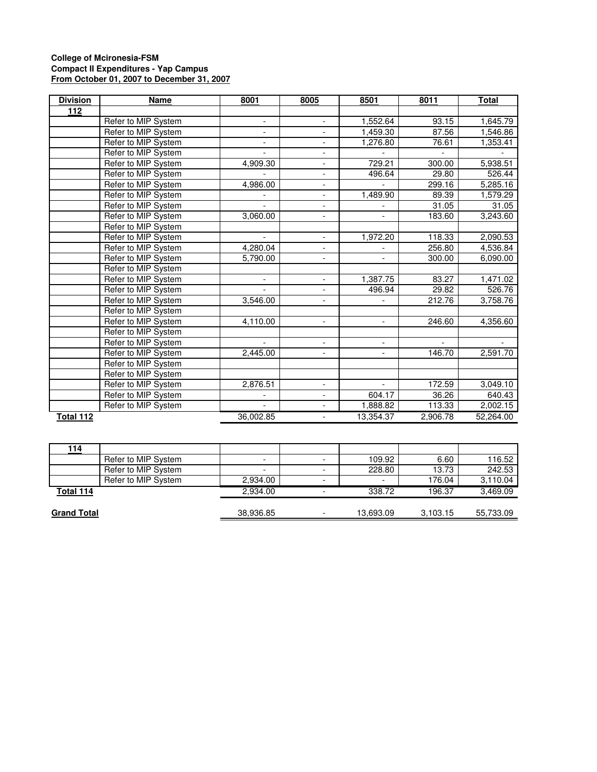## **College of Mcironesia-FSM Compact II Expenditures - Yap Campus From October 01, 2007 to December 31, 2007**

| <b>Division</b> | Name                | 8001                     | 8005                     | 8501                     | 8011     | <b>Total</b> |
|-----------------|---------------------|--------------------------|--------------------------|--------------------------|----------|--------------|
| 112             |                     |                          |                          |                          |          |              |
|                 | Refer to MIP System | -                        |                          | 1,552.64                 | 93.15    | 1,645.79     |
|                 | Refer to MIP System | $\overline{\phantom{a}}$ | $\blacksquare$           | 1,459.30                 | 87.56    | 1,546.86     |
|                 | Refer to MIP System | $\overline{\phantom{0}}$ |                          | 1,276.80                 | 76.61    | 1,353.41     |
|                 | Refer to MIP System |                          | $\overline{\phantom{a}}$ |                          |          |              |
|                 | Refer to MIP System | 4,909.30                 | $\overline{\phantom{0}}$ | 729.21                   | 300.00   | 5,938.51     |
|                 | Refer to MIP System |                          | $\overline{\phantom{a}}$ | 496.64                   | 29.80    | 526.44       |
|                 | Refer to MIP System | 4,986.00                 | $\overline{\phantom{a}}$ |                          | 299.16   | 5,285.16     |
|                 | Refer to MIP System |                          |                          | 1,489.90                 | 89.39    | 1,579.29     |
|                 | Refer to MIP System | $\overline{\phantom{0}}$ | $\overline{\phantom{a}}$ |                          | 31.05    | 31.05        |
|                 | Refer to MIP System | 3,060.00                 | $\overline{\phantom{a}}$ |                          | 183.60   | 3,243.60     |
|                 | Refer to MIP System |                          |                          |                          |          |              |
|                 | Refer to MIP System | $\overline{\phantom{a}}$ | $\overline{\phantom{a}}$ | 1,972.20                 | 118.33   | 2,090.53     |
|                 | Refer to MIP System | 4,280.04                 |                          |                          | 256.80   | 4,536.84     |
|                 | Refer to MIP System | 5,790.00                 | $\overline{\phantom{a}}$ | $\blacksquare$           | 300.00   | 6,090.00     |
|                 | Refer to MIP System |                          |                          |                          |          |              |
|                 | Refer to MIP System | $\overline{\phantom{a}}$ | $\overline{\phantom{a}}$ | 1,387.75                 | 83.27    | 1,471.02     |
|                 | Refer to MIP System |                          |                          | 496.94                   | 29.82    | 526.76       |
|                 | Refer to MIP System | 3,546.00                 |                          |                          | 212.76   | 3,758.76     |
|                 | Refer to MIP System |                          |                          |                          |          |              |
|                 | Refer to MIP System | 4,110.00                 | $\overline{\phantom{a}}$ | $\blacksquare$           | 246.60   | 4,356.60     |
|                 | Refer to MIP System |                          |                          |                          |          |              |
|                 | Refer to MIP System | $\overline{a}$           | $\blacksquare$           | $\overline{\phantom{0}}$ |          |              |
|                 | Refer to MIP System | 2,445.00                 |                          |                          | 146.70   | 2,591.70     |
|                 | Refer to MIP System |                          |                          |                          |          |              |
|                 | Refer to MIP System |                          |                          |                          |          |              |
|                 | Refer to MIP System | 2,876.51                 | $\overline{\phantom{a}}$ | $\overline{\phantom{a}}$ | 172.59   | 3,049.10     |
|                 | Refer to MIP System |                          |                          | 604.17                   | 36.26    | 640.43       |
|                 | Refer to MIP System |                          |                          | 1,888.82                 | 113.33   | 2,002.15     |
| Total 112       |                     | 36,002.85                | $\overline{\phantom{0}}$ | 13,354.37                | 2,906.78 | 52,264.00    |

| 114                |                     |                          |                          |                          |          |           |
|--------------------|---------------------|--------------------------|--------------------------|--------------------------|----------|-----------|
|                    | Refer to MIP System | $\overline{\phantom{0}}$ |                          | 109.92                   | 6.60     | 116.52    |
|                    | Refer to MIP System | $\overline{\phantom{0}}$ |                          | 228.80                   | 13.73    | 242.53    |
|                    | Refer to MIP System | 2,934.00                 | $\overline{\phantom{0}}$ | $\overline{\phantom{0}}$ | 176.04   | 3,110.04  |
| Total 114          |                     | 2.934.00                 |                          | 338.72                   | 196.37   | 3,469.09  |
|                    |                     |                          |                          |                          |          |           |
| <b>Grand Total</b> |                     | 38,936.85                | $\overline{\phantom{0}}$ | 13,693.09                | 3,103.15 | 55,733.09 |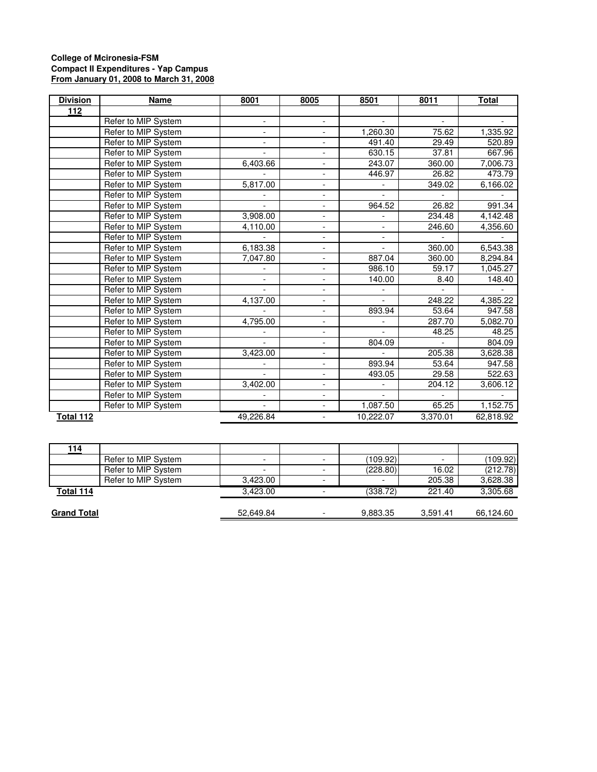## **College of Mcironesia-FSM Compact II Expenditures - Yap Campus From January 01, 2008 to March 31, 2008**

| <b>Division</b> | <b>Name</b>         | 8001                     | 8005                     | 8501                     | 8011     | Total     |
|-----------------|---------------------|--------------------------|--------------------------|--------------------------|----------|-----------|
| 112             |                     |                          |                          |                          |          |           |
|                 | Refer to MIP System | -                        |                          |                          |          |           |
|                 | Refer to MIP System | $\overline{\phantom{0}}$ | $\overline{\phantom{a}}$ | 1.260.30                 | 75.62    | 1,335.92  |
|                 | Refer to MIP System | -                        |                          | 491.40                   | 29.49    | 520.89    |
|                 | Refer to MIP System | $\overline{\phantom{a}}$ | $\overline{\phantom{a}}$ | 630.15                   | 37.81    | 667.96    |
|                 | Refer to MIP System | 6,403.66                 | $\overline{\phantom{a}}$ | 243.07                   | 360.00   | 7,006.73  |
|                 | Refer to MIP System |                          | $\overline{\phantom{a}}$ | 446.97                   | 26.82    | 473.79    |
|                 | Refer to MIP System | 5,817.00                 | $\overline{\phantom{0}}$ |                          | 349.02   | 6,166.02  |
|                 | Refer to MIP System |                          |                          |                          |          |           |
|                 | Refer to MIP System |                          | $\overline{\phantom{a}}$ | 964.52                   | 26.82    | 991.34    |
|                 | Refer to MIP System | 3,908.00                 | $\blacksquare$           |                          | 234.48   | 4,142.48  |
|                 | Refer to MIP System | 4,110.00                 | $\overline{\phantom{a}}$ | $\overline{\phantom{a}}$ | 246.60   | 4,356.60  |
|                 | Refer to MIP System |                          | -                        |                          |          |           |
|                 | Refer to MIP System | 6,183.38                 | $\overline{\phantom{a}}$ |                          | 360.00   | 6,543.38  |
|                 | Refer to MIP System | 7,047.80                 | $\overline{\phantom{a}}$ | 887.04                   | 360.00   | 8,294.84  |
|                 | Refer to MIP System |                          | $\overline{\phantom{a}}$ | 986.10                   | 59.17    | 1,045.27  |
|                 | Refer to MIP System | $\overline{\phantom{a}}$ | $\overline{\phantom{a}}$ | 140.00                   | 8.40     | 148.40    |
|                 | Refer to MIP System |                          |                          |                          |          |           |
|                 | Refer to MIP System | 4,137.00                 | $\overline{\phantom{a}}$ |                          | 248.22   | 4,385.22  |
|                 | Refer to MIP System |                          | $\overline{\phantom{0}}$ | 893.94                   | 53.64    | 947.58    |
|                 | Refer to MIP System | 4,795.00                 | $\blacksquare$           |                          | 287.70   | 5,082.70  |
|                 | Refer to MIP System |                          | $\overline{\phantom{a}}$ |                          | 48.25    | 48.25     |
|                 | Refer to MIP System | $\overline{a}$           | $\overline{\phantom{a}}$ | 804.09                   |          | 804.09    |
|                 | Refer to MIP System | 3,423.00                 | -                        |                          | 205.38   | 3,628.38  |
|                 | Refer to MIP System |                          | $\overline{\phantom{a}}$ | 893.94                   | 53.64    | 947.58    |
|                 | Refer to MIP System | $\overline{a}$           | $\blacksquare$           | 493.05                   | 29.58    | 522.63    |
|                 | Refer to MIP System | 3,402.00                 | $\overline{\phantom{a}}$ |                          | 204.12   | 3,606.12  |
|                 | Refer to MIP System |                          | $\overline{\phantom{a}}$ |                          |          |           |
|                 | Refer to MIP System |                          |                          | 1,087.50                 | 65.25    | 1,152.75  |
| Total 112       |                     | 49,226.84                |                          | 10,222.07                | 3,370.01 | 62,818.92 |

| 114                |                     |                          |                          |                          |          |           |
|--------------------|---------------------|--------------------------|--------------------------|--------------------------|----------|-----------|
|                    | Refer to MIP System | $\overline{\phantom{0}}$ |                          | (109.92)                 |          | (109.92)  |
|                    | Refer to MIP System |                          |                          | (228.80)                 | 16.02    | (212.78)  |
|                    | Refer to MIP System | 3,423.00                 | $\overline{\phantom{0}}$ | $\overline{\phantom{0}}$ | 205.38   | 3,628.38  |
| Total 114          |                     | 3.423.00                 |                          | (338.72)                 | 221.40   | 3,305.68  |
|                    |                     |                          |                          |                          |          |           |
| <b>Grand Total</b> |                     | 52,649.84                | $\overline{\phantom{0}}$ | 9,883.35                 | 3.591.41 | 66,124.60 |